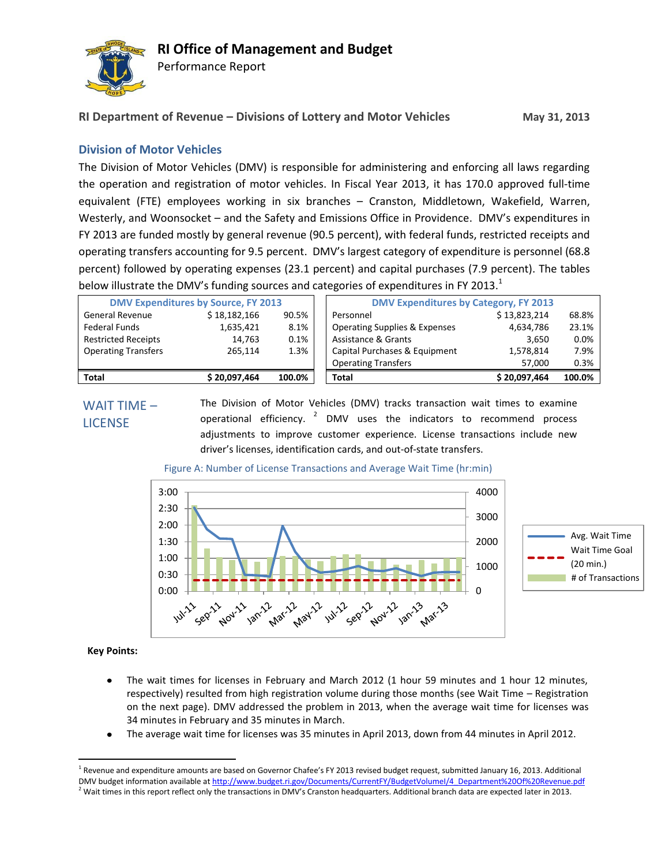

Performance Report

# **RI Department of Revenue – Divisions of Lottery and Motor Vehicles May 31, 2013**

## **Division of Motor Vehicles**

The Division of Motor Vehicles (DMV) is responsible for administering and enforcing all laws regarding the operation and registration of motor vehicles. In Fiscal Year 2013, it has 170.0 approved full-time equivalent (FTE) employees working in six branches – Cranston, Middletown, Wakefield, Warren, Westerly, and Woonsocket – and the Safety and Emissions Office in Providence. DMV's expenditures in FY 2013 are funded mostly by general revenue (90.5 percent), with federal funds, restricted receipts and operating transfers accounting for 9.5 percent. DMV's largest category of expenditure is personnel (68.8 percent) followed by operating expenses (23.1 percent) and capital purchases (7.9 percent). The tables below illustrate the DMV's funding sources and categories of expenditures in FY 2013. $<sup>1</sup>$ </sup>

| <b>DMV Expenditures by Source, FY 2013</b> |              |        | <b>DMV Expenditures by Category, FY 2013</b> |              |        |
|--------------------------------------------|--------------|--------|----------------------------------------------|--------------|--------|
| <b>General Revenue</b>                     | \$18,182,166 | 90.5%  | Personnel                                    | \$13,823,214 | 68.8%  |
| Federal Funds                              | 1.635.421    | 8.1%   | <b>Operating Supplies &amp; Expenses</b>     | 4,634,786    | 23.1%  |
| <b>Restricted Receipts</b>                 | 14,763       | 0.1%   | Assistance & Grants                          | 3,650        | 0.0%   |
| <b>Operating Transfers</b>                 | 265.114      | 1.3%   | Capital Purchases & Equipment                | 1,578,814    | 7.9%   |
|                                            |              |        | <b>Operating Transfers</b>                   | 57.000       | 0.3%   |
| <b>Total</b>                               | \$20,097,464 | 100.0% | <b>Total</b>                                 | \$20,097,464 | 100.0% |

## WAIT TIME – **LICENSE**

The Division of Motor Vehicles (DMV) tracks transaction wait times to examine operational efficiency.  $2$  DMV uses the indicators to recommend process adjustments to improve customer experience. License transactions include new driver's licenses, identification cards, and out-of-state transfers.



### Figure A: Number of License Transactions and Average Wait Time (hr:min)

### **Key Points:**

 $\overline{a}$ 

- The wait times for licenses in February and March 2012 (1 hour 59 minutes and 1 hour 12 minutes, respectively) resulted from high registration volume during those months (see Wait Time – Registration on the next page). DMV addressed the problem in 2013, when the average wait time for licenses was 34 minutes in February and 35 minutes in March.
- The average wait time for licenses was 35 minutes in April 2013, down from 44 minutes in April 2012.

<sup>&</sup>lt;sup>1</sup> Revenue and expenditure amounts are based on Governor Chafee's FY 2013 revised budget request, submitted January 16, 2013. Additional DMV budget information available a[t http://www.budget.ri.gov/Documents/CurrentFY/BudgetVolumeI/4\\_Department%20Of%20Revenue.pdf](http://www.budget.ri.gov/Documents/CurrentFY/BudgetVolumeI/4_Department%20Of%20Revenue.pdf)  $<sup>2</sup>$  Wait times in this report reflect only the transactions in DMV's Cranston headquarters. Additional branch data are expected later in 2013.</sup>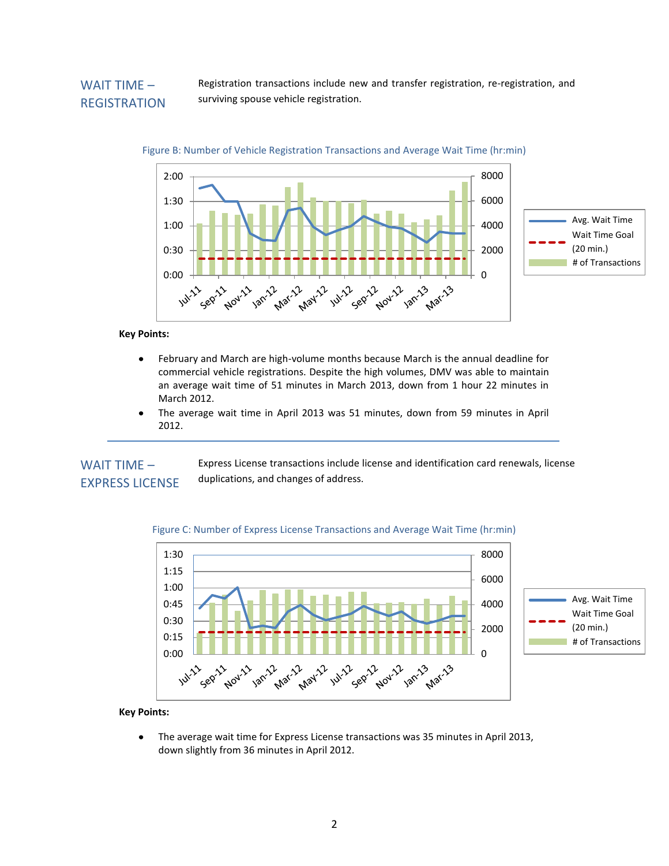## WAIT TIME – **REGISTRATION**

Registration transactions include new and transfer registration, re-registration, and surviving spouse vehicle registration.



### Figure B: Number of Vehicle Registration Transactions and Average Wait Time (hr:min)

#### **Key Points:**

- $\bullet$ February and March are high-volume months because March is the annual deadline for commercial vehicle registrations. Despite the high volumes, DMV was able to maintain an average wait time of 51 minutes in March 2013, down from 1 hour 22 minutes in March 2012.
- The average wait time in April 2013 was 51 minutes, down from 59 minutes in April 2012.

Express License transactions include license and identification card renewals, license duplications, and changes of address. WAIT TIME – EXPRESS LICENSE





#### **Key Points:**

The average wait time for Express License transactions was 35 minutes in April 2013, down slightly from 36 minutes in April 2012.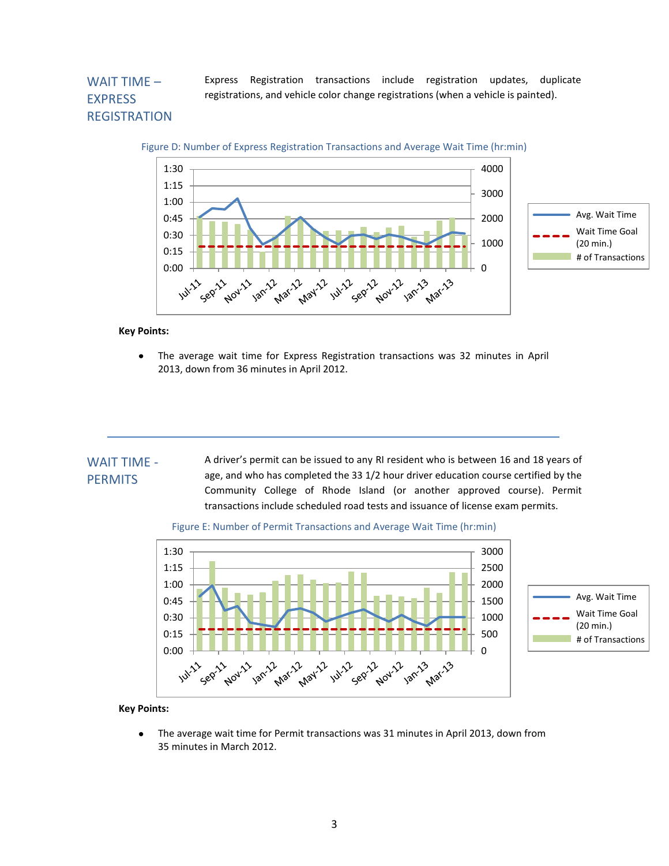## WAIT TIME – EXPRESS **REGISTRATION**

Express Registration transactions include registration updates, duplicate registrations, and vehicle color change registrations (when a vehicle is painted).



**Key Points:**

The average wait time for Express Registration transactions was 32 minutes in April 2013, down from 36 minutes in April 2012.

#### A driver's permit can be issued to any RI resident who is between 16 and 18 years of age, and who has completed the 33 1/2 hour driver education course certified by the Community College of Rhode Island (or another approved course). Permit transactions include scheduled road tests and issuance of license exam permits. WAIT TIME - **PERMITS**





#### **Key Points:**

The average wait time for Permit transactions was 31 minutes in April 2013, down from  $\bullet$ 35 minutes in March 2012.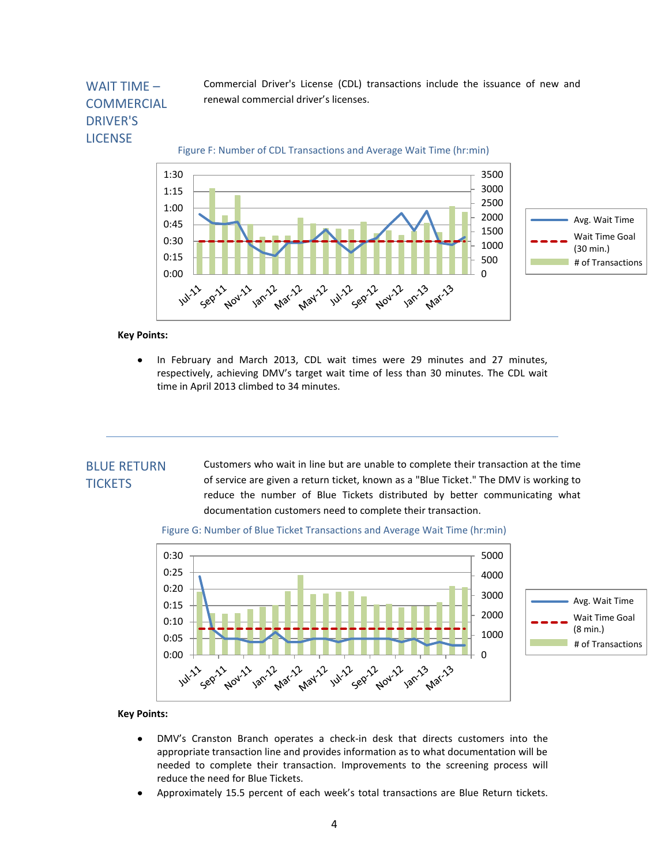## WAIT TIME – **COMMERCIAL** DRIVER'S LICENSE

Commercial Driver's License (CDL) transactions include the issuance of new and renewal commercial driver's licenses.

Figure F: Number of CDL Transactions and Average Wait Time (hr:min)



#### **Key Points:**

In February and March 2013, CDL wait times were 29 minutes and 27 minutes, respectively, achieving DMV's target wait time of less than 30 minutes. The CDL wait time in April 2013 climbed to 34 minutes.

## BLUE RETURN **TICKETS**

Customers who wait in line but are unable to complete their transaction at the time of service are given a return ticket, known as a "Blue Ticket." The DMV is working to reduce the number of Blue Tickets distributed by better communicating what documentation customers need to complete their transaction.





#### **Key Points:**

- DMV's Cranston Branch operates a check-in desk that directs customers into the appropriate transaction line and provides information as to what documentation will be needed to complete their transaction. Improvements to the screening process will reduce the need for Blue Tickets.
- Approximately 15.5 percent of each week's total transactions are Blue Return tickets.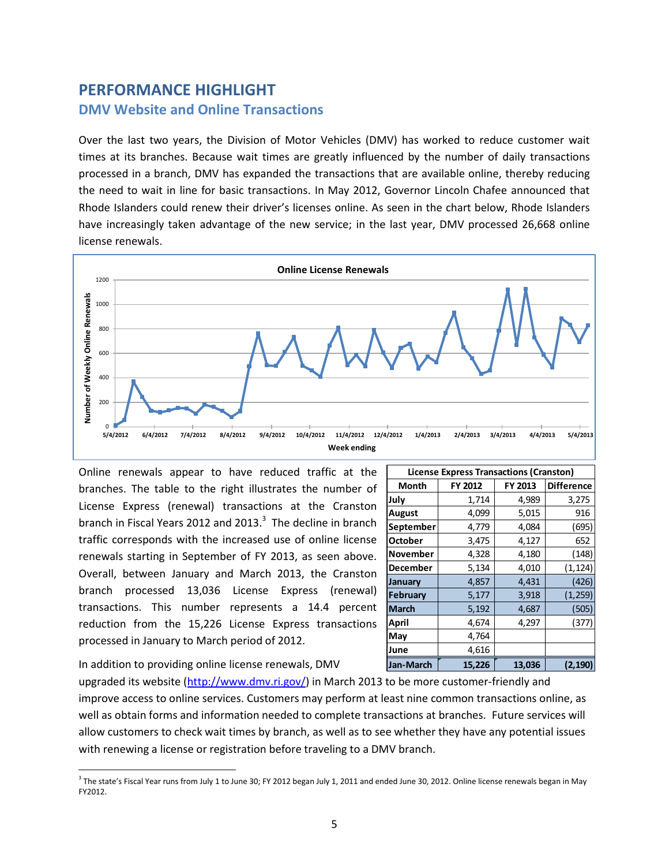# **PERFORMANCE HIGHLIGHT DMV Website and Online Transactions**

Over the last two years, the Division of Motor Vehicles (DMV) has worked to reduce customer wait times at its branches. Because wait times are greatly influenced by the number of daily transactions processed in a branch, DMV has expanded the transactions that are available online, thereby reducing the need to wait in line for basic transactions. In May 2012, Governor Lincoln Chafee announced that Rhode Islanders could renew their driver's licenses online. As seen in the chart below, Rhode Islanders have increasingly taken advantage of the new service; in the last year, DMV processed 26,668 online license renewals.



Online renewals appear to have reduced traffic at the branches. The table to the right illustrates the number of License Express (renewal) transactions at the Cranston branch in Fiscal Years 2012 and 2013. $3$  The decline in branch traffic corresponds with the increased use of online license renewals starting in September of FY 2013, as seen above. Overall, between January and March 2013, the Cranston branch processed 13,036 License Express (renewal) transactions. This number represents a 14.4 percent reduction from the 15,226 License Express transactions processed in January to March period of 2012.

| <b>License Express Transactions (Cranston)</b> |         |         |                   |  |  |  |  |  |
|------------------------------------------------|---------|---------|-------------------|--|--|--|--|--|
| <b>Month</b>                                   | FY 2012 | FY 2013 | <b>Difference</b> |  |  |  |  |  |
| July                                           | 1,714   | 4,989   | 3,275             |  |  |  |  |  |
| August                                         | 4,099   | 5,015   | 916               |  |  |  |  |  |
| September                                      | 4,779   | 4,084   | (695)             |  |  |  |  |  |
| <b>October</b>                                 | 3,475   | 4,127   | 652               |  |  |  |  |  |
| November                                       | 4,328   | 4,180   | (148)             |  |  |  |  |  |
| December                                       | 5,134   | 4,010   | (1, 124)          |  |  |  |  |  |
| January                                        | 4,857   | 4,431   | (426)             |  |  |  |  |  |
| <b>February</b>                                | 5,177   | 3,918   | (1, 259)          |  |  |  |  |  |
| <b>March</b>                                   | 5,192   | 4,687   | (505)             |  |  |  |  |  |
| April                                          | 4,674   | 4,297   | (377)             |  |  |  |  |  |
| May                                            | 4,764   |         |                   |  |  |  |  |  |
| June                                           | 4,616   |         |                   |  |  |  |  |  |
| Jan-March                                      | 15,226  | 13,036  | (2, 190)          |  |  |  |  |  |

In addition to providing online license renewals, DMV

 $\overline{a}$ 

upgraded its website [\(http://www.dmv.ri.gov/\)](http://www.dmv.ri.gov/) in March 2013 to be more customer-friendly and improve access to online services. Customers may perform at least nine common transactions online, as well as obtain forms and information needed to complete transactions at branches. Future services will allow customers to check wait times by branch, as well as to see whether they have any potential issues with renewing a license or registration before traveling to a DMV branch.

 $^3$  The state's Fiscal Year runs from July 1 to June 30; FY 2012 began July 1, 2011 and ended June 30, 2012. Online license renewals began in May FY2012.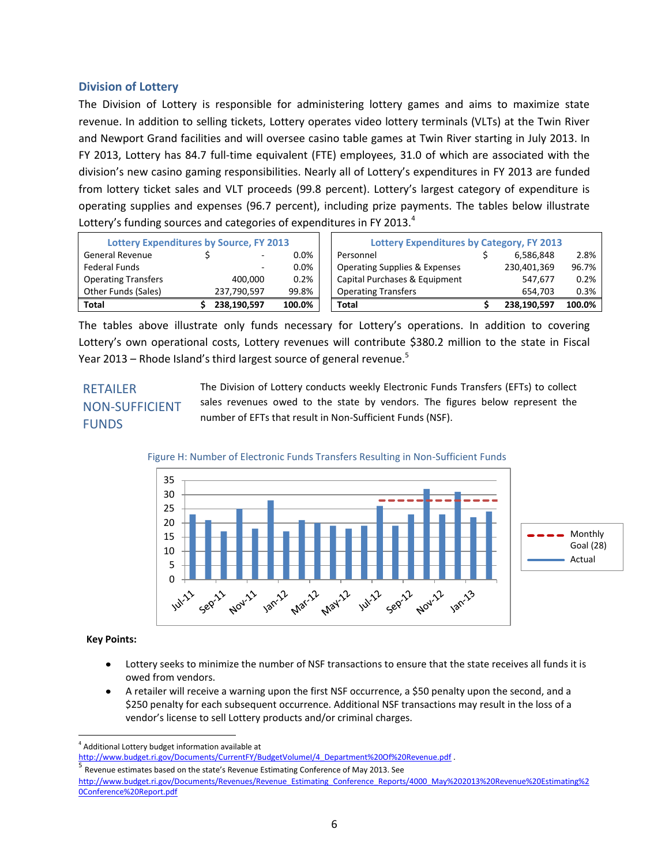### **Division of Lottery**

The Division of Lottery is responsible for administering lottery games and aims to maximize state revenue. In addition to selling tickets, Lottery operates video lottery terminals (VLTs) at the Twin River and Newport Grand facilities and will oversee casino table games at Twin River starting in July 2013. In FY 2013, Lottery has 84.7 full-time equivalent (FTE) employees, 31.0 of which are associated with the division's new casino gaming responsibilities. Nearly all of Lottery's expenditures in FY 2013 are funded from lottery ticket sales and VLT proceeds (99.8 percent). Lottery's largest category of expenditure is operating supplies and expenses (96.7 percent), including prize payments. The tables below illustrate Lottery's funding sources and categories of expenditures in FY 2013.<sup>4</sup>

| <b>Lottery Expenditures by Source, FY 2013</b> |  |                          | <b>Lottery Expenditures by Category, FY 2013</b> |                                          |  |             |        |
|------------------------------------------------|--|--------------------------|--------------------------------------------------|------------------------------------------|--|-------------|--------|
| <b>General Revenue</b>                         |  | $\sim$                   | $0.0\%$                                          | Personnel                                |  | 6.586.848   | 2.8%   |
| Federal Funds                                  |  | $\overline{\phantom{a}}$ | $0.0\%$                                          | <b>Operating Supplies &amp; Expenses</b> |  | 230,401,369 | 96.7%  |
| <b>Operating Transfers</b>                     |  | 400.000                  | 0.2%                                             | Capital Purchases & Equipment            |  | 547.677     | 0.2%   |
| Other Funds (Sales)                            |  | 237,790,597              | 99.8%                                            | <b>Operating Transfers</b>               |  | 654.703     | 0.3%   |
| Total                                          |  | 238,190,597              | 100.0%                                           | Total                                    |  | 238.190.597 | 100.0% |

The tables above illustrate only funds necessary for Lottery's operations. In addition to covering Lottery's own operational costs, Lottery revenues will contribute \$380.2 million to the state in Fiscal Year 2013 – Rhode Island's third largest source of general revenue.<sup>5</sup>

## RETAILER NON-SUFFICIENT FUNDS

The Division of Lottery conducts weekly Electronic Funds Transfers (EFTs) to collect sales revenues owed to the state by vendors. The figures below represent the number of EFTs that result in Non-Sufficient Funds (NSF).

### Figure H: Number of Electronic Funds Transfers Resulting in Non-Sufficient Funds



### **Key Points:**

 $\overline{\phantom{a}}$ 

- Lottery seeks to minimize the number of NSF transactions to ensure that the state receives all funds it is owed from vendors.
- A retailer will receive a warning upon the first NSF occurrence, a \$50 penalty upon the second, and a \$250 penalty for each subsequent occurrence. Additional NSF transactions may result in the loss of a vendor's license to sell Lottery products and/or criminal charges.

<sup>4</sup> Additional Lottery budget information available at

[http://www.budget.ri.gov/Documents/CurrentFY/BudgetVolumeI/4\\_Department%20Of%20Revenue.pdf](http://www.budget.ri.gov/Documents/CurrentFY/BudgetVolumeI/4_Department%20Of%20Revenue.pdf) . 5

Revenue estimates based on the state's Revenue Estimating Conference of May 2013. See [http://www.budget.ri.gov/Documents/Revenues/Revenue\\_Estimating\\_Conference\\_Reports/4000\\_May%202013%20Revenue%20Estimating%2](http://www.budget.ri.gov/Documents/Revenues/Revenue_Estimating_Conference_Reports/4000_May%202013%20Revenue%20Estimating%20Conference%20Report.pdf) [0Conference%20Report.pdf](http://www.budget.ri.gov/Documents/Revenues/Revenue_Estimating_Conference_Reports/4000_May%202013%20Revenue%20Estimating%20Conference%20Report.pdf)